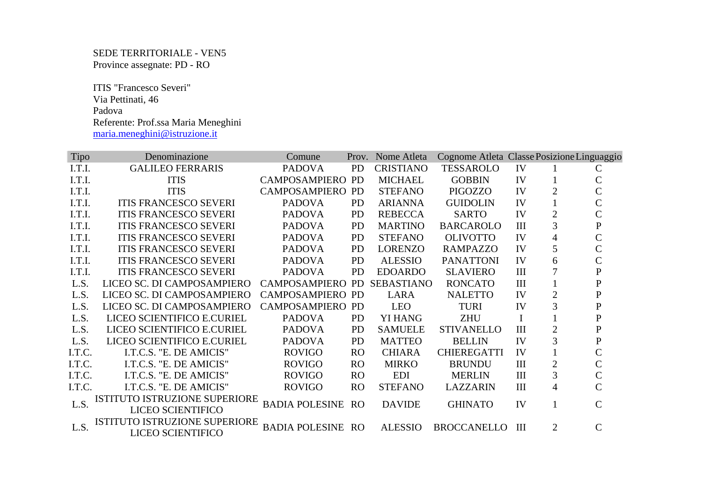SEDE TERRITORIALE - VEN5 Province assegnate: PD - RO

 ITIS "Francesco Severi" Via Pettinati, 46 Padova Referente: Prof.ssa Maria Meneghini maria.meneghini@istruzione.it

| Tipo   | Denominazione                 | Comune                   |                | Prov. Nome Atleta | Cognome Atleta Classe Posizione Linguaggio |     |                |                    |
|--------|-------------------------------|--------------------------|----------------|-------------------|--------------------------------------------|-----|----------------|--------------------|
| I.T.I. | <b>GALILEO FERRARIS</b>       | <b>PADOVA</b>            | <b>PD</b>      | <b>CRISTIANO</b>  | <b>TESSAROLO</b>                           | IV  |                | C                  |
| I.T.I. | <b>ITIS</b>                   | <b>CAMPOSAMPIERO PD</b>  |                | <b>MICHAEL</b>    | <b>GOBBIN</b>                              | IV  |                | C                  |
| I.T.I. | <b>ITIS</b>                   | CAMPOSAMPIERO            | <b>PD</b>      | <b>STEFANO</b>    | PIGOZZO                                    | IV  | $\overline{2}$ | $\overline{C}$     |
| I.T.I. | <b>ITIS FRANCESCO SEVERI</b>  | <b>PADOVA</b>            | <b>PD</b>      | <b>ARIANNA</b>    | <b>GUIDOLIN</b>                            | IV  |                | $\overline{C}$     |
| I.T.I. | <b>ITIS FRANCESCO SEVERI</b>  | <b>PADOVA</b>            | <b>PD</b>      | <b>REBECCA</b>    | <b>SARTO</b>                               | IV  | $\overline{2}$ | $\overline{C}$     |
| I.T.I. | <b>ITIS FRANCESCO SEVERI</b>  | <b>PADOVA</b>            | <b>PD</b>      | <b>MARTINO</b>    | <b>BARCAROLO</b>                           | III | 3              | ${\bf P}$          |
| I.T.I. | <b>ITIS FRANCESCO SEVERI</b>  | <b>PADOVA</b>            | <b>PD</b>      | <b>STEFANO</b>    | <b>OLIVOTTO</b>                            | IV  | 4              | $\overline{C}$     |
| I.T.I. | <b>ITIS FRANCESCO SEVERI</b>  | <b>PADOVA</b>            | <b>PD</b>      | <b>LORENZO</b>    | <b>RAMPAZZO</b>                            | IV  | 5              | $\overline{C}$     |
| I.T.I. | <b>ITIS FRANCESCO SEVERI</b>  | <b>PADOVA</b>            | <b>PD</b>      | <b>ALESSIO</b>    | <b>PANATTONI</b>                           | IV  | 6              | $\mathsf C$        |
| I.T.I. | <b>ITIS FRANCESCO SEVERI</b>  | <b>PADOVA</b>            | <b>PD</b>      | <b>EDOARDO</b>    | <b>SLAVIERO</b>                            | III | 7              | ${\bf P}$          |
| L.S.   | LICEO SC. DI CAMPOSAMPIERO    | CAMPOSAMPIERO            | <b>PD</b>      | <b>SEBASTIANO</b> | <b>RONCATO</b>                             | III |                | ${\bf P}$          |
| L.S.   | LICEO SC. DI CAMPOSAMPIERO    | <b>CAMPOSAMPIERO PD</b>  |                | <b>LARA</b>       | <b>NALETTO</b>                             | IV  | $\mathfrak{2}$ | ${\bf P}$          |
| L.S.   | LICEO SC. DI CAMPOSAMPIERO    | CAMPOSAMPIERO            | <b>PD</b>      | <b>LEO</b>        | <b>TURI</b>                                | IV  | 3              | $\mathbf P$        |
| L.S.   | LICEO SCIENTIFICO E.CURIEL    | <b>PADOVA</b>            | <b>PD</b>      | <b>YI HANG</b>    | <b>ZHU</b>                                 | I   |                | ${\bf P}$          |
| L.S.   | LICEO SCIENTIFICO E.CURIEL    | <b>PADOVA</b>            | <b>PD</b>      | <b>SAMUELE</b>    | <b>STIVANELLO</b>                          | III | $\overline{2}$ | ${\bf P}$          |
| L.S.   | LICEO SCIENTIFICO E.CURIEL    | <b>PADOVA</b>            | <b>PD</b>      | <b>MATTEO</b>     | <b>BELLIN</b>                              | IV  | 3              | ${\bf P}$          |
| I.T.C. | I.T.C.S. "E. DE AMICIS"       | <b>ROVIGO</b>            | R <sub>O</sub> | <b>CHIARA</b>     | <b>CHIEREGATTI</b>                         | IV  |                | $\mathsf C$        |
| I.T.C. | I.T.C.S. "E. DE AMICIS"       | <b>ROVIGO</b>            | R <sub>O</sub> | <b>MIRKO</b>      | <b>BRUNDU</b>                              | III | $\overline{2}$ | $\mathcal{C}$      |
| I.T.C. | I.T.C.S. "E. DE AMICIS"       | <b>ROVIGO</b>            | R <sub>O</sub> | <b>EDI</b>        | <b>MERLIN</b>                              | III | 3              | $\overline{C}$     |
| I.T.C. | I.T.C.S. "E. DE AMICIS"       | <b>ROVIGO</b>            | R <sub>O</sub> | <b>STEFANO</b>    | <b>LAZZARIN</b>                            | III | 4              | $\overline{\rm C}$ |
| L.S.   | ISTITUTO ISTRUZIONE SUPERIORE | <b>BADIA POLESINE</b>    | RO             | <b>DAVIDE</b>     | <b>GHINATO</b>                             | IV  | $\mathbf{1}$   | $\mathsf{C}$       |
|        | <b>LICEO SCIENTIFICO</b>      |                          |                |                   |                                            |     |                |                    |
| L.S.   | ISTITUTO ISTRUZIONE SUPERIORE | <b>BADIA POLESINE RO</b> |                | <b>ALESSIO</b>    | <b>BROCCANELLO</b>                         | III | $\overline{2}$ | $\mathcal{C}$      |
|        | <b>LICEO SCIENTIFICO</b>      |                          |                |                   |                                            |     |                |                    |